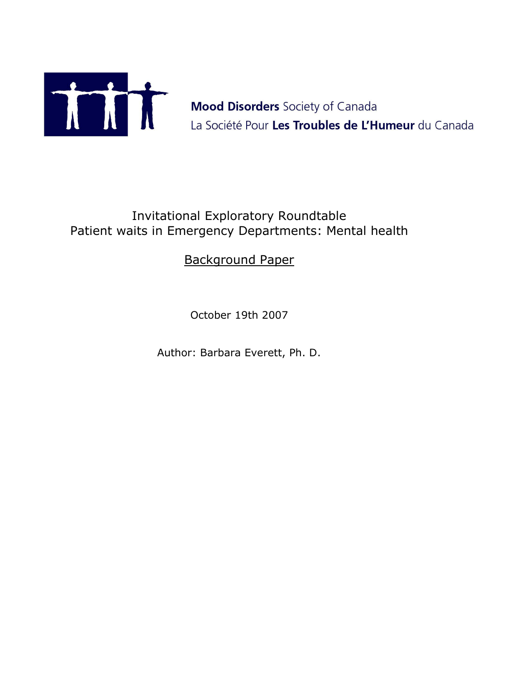

Mood Disorders Society of Canada<br>La Société Pour Les Troubles de L'Humeur du Canada

# Invitational Exploratory Roundtable Patient waits in Emergency Departments: Mental health

# Background Paper

October 19th 2007

Author: Barbara Everett, Ph. D.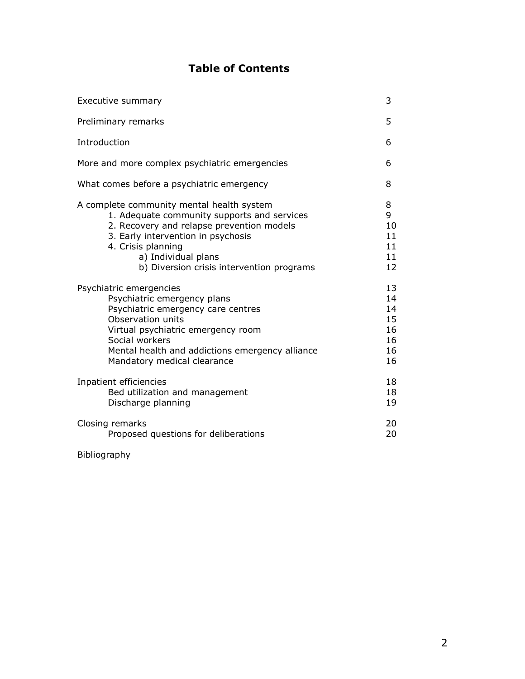# **Table of Contents**

| Executive summary                                                                                                                                                                                                                                                     | 3                                            |
|-----------------------------------------------------------------------------------------------------------------------------------------------------------------------------------------------------------------------------------------------------------------------|----------------------------------------------|
| Preliminary remarks                                                                                                                                                                                                                                                   | 5                                            |
| Introduction                                                                                                                                                                                                                                                          | 6                                            |
| More and more complex psychiatric emergencies                                                                                                                                                                                                                         | 6                                            |
| What comes before a psychiatric emergency                                                                                                                                                                                                                             | 8                                            |
| A complete community mental health system<br>1. Adequate community supports and services<br>2. Recovery and relapse prevention models<br>3. Early intervention in psychosis<br>4. Crisis planning<br>a) Individual plans<br>b) Diversion crisis intervention programs | 8<br>9<br>10<br>11<br>11<br>11<br>12         |
| Psychiatric emergencies<br>Psychiatric emergency plans<br>Psychiatric emergency care centres<br>Observation units<br>Virtual psychiatric emergency room<br>Social workers<br>Mental health and addictions emergency alliance<br>Mandatory medical clearance           | 13<br>14<br>14<br>15<br>16<br>16<br>16<br>16 |
| Inpatient efficiencies<br>Bed utilization and management<br>Discharge planning                                                                                                                                                                                        | 18<br>18<br>19                               |
| Closing remarks<br>Proposed questions for deliberations                                                                                                                                                                                                               | 20<br>20                                     |

#### Bibliography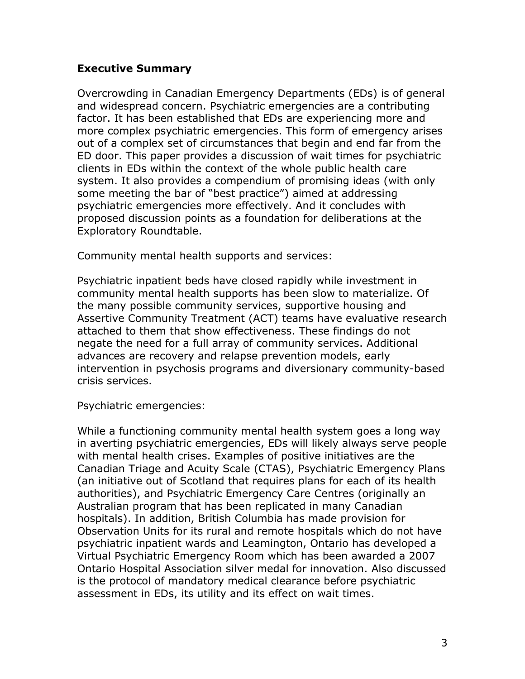#### **Executive Summary**

Overcrowding in Canadian Emergency Departments (EDs) is of general and widespread concern. Psychiatric emergencies are a contributing factor. It has been established that EDs are experiencing more and more complex psychiatric emergencies. This form of emergency arises out of a complex set of circumstances that begin and end far from the ED door. This paper provides a discussion of wait times for psychiatric clients in EDs within the context of the whole public health care system. It also provides a compendium of promising ideas (with only some meeting the bar of "best practice") aimed at addressing psychiatric emergencies more effectively. And it concludes with proposed discussion points as a foundation for deliberations at the Exploratory Roundtable.

Community mental health supports and services:

Psychiatric inpatient beds have closed rapidly while investment in community mental health supports has been slow to materialize. Of the many possible community services, supportive housing and Assertive Community Treatment (ACT) teams have evaluative research attached to them that show effectiveness. These findings do not negate the need for a full array of community services. Additional advances are recovery and relapse prevention models, early intervention in psychosis programs and diversionary community-based crisis services.

Psychiatric emergencies:

While a functioning community mental health system goes a long way in averting psychiatric emergencies, EDs will likely always serve people with mental health crises. Examples of positive initiatives are the Canadian Triage and Acuity Scale (CTAS), Psychiatric Emergency Plans (an initiative out of Scotland that requires plans for each of its health authorities), and Psychiatric Emergency Care Centres (originally an Australian program that has been replicated in many Canadian hospitals). In addition, British Columbia has made provision for Observation Units for its rural and remote hospitals which do not have psychiatric inpatient wards and Leamington, Ontario has developed a Virtual Psychiatric Emergency Room which has been awarded a 2007 Ontario Hospital Association silver medal for innovation. Also discussed is the protocol of mandatory medical clearance before psychiatric assessment in EDs, its utility and its effect on wait times.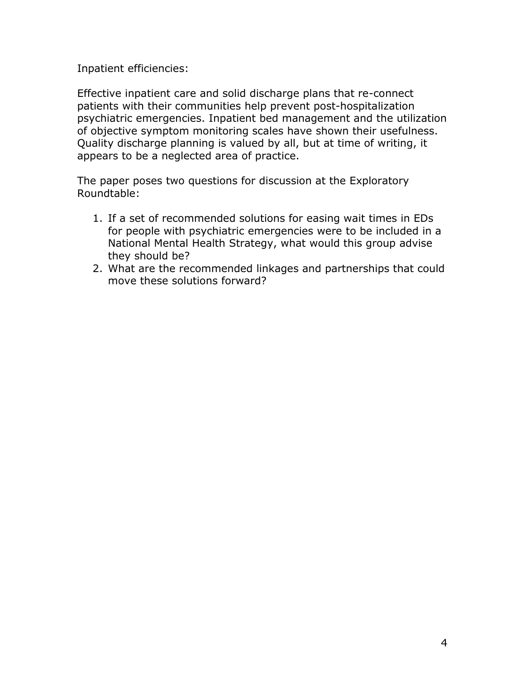Inpatient efficiencies:

Effective inpatient care and solid discharge plans that re-connect patients with their communities help prevent post-hospitalization psychiatric emergencies. Inpatient bed management and the utilization of objective symptom monitoring scales have shown their usefulness. Quality discharge planning is valued by all, but at time of writing, it appears to be a neglected area of practice.

The paper poses two questions for discussion at the Exploratory Roundtable:

- 1. If a set of recommended solutions for easing wait times in EDs for people with psychiatric emergencies were to be included in a National Mental Health Strategy, what would this group advise they should be?
- 2. What are the recommended linkages and partnerships that could move these solutions forward?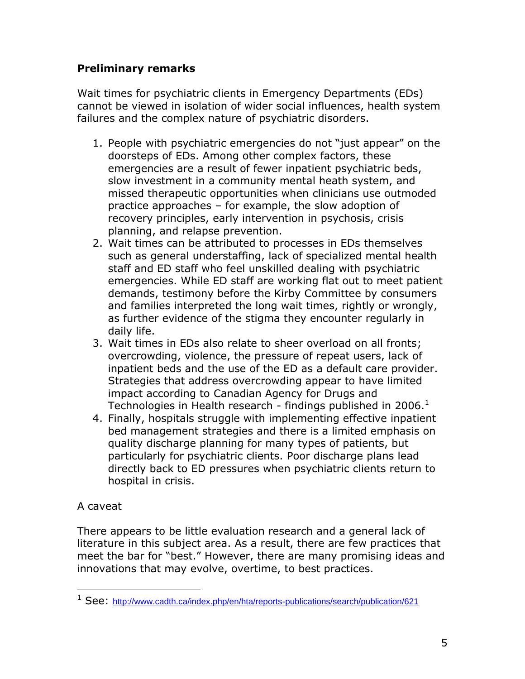### **Preliminary remarks**

Wait times for psychiatric clients in Emergency Departments (EDs) cannot be viewed in isolation of wider social influences, health system failures and the complex nature of psychiatric disorders.

- 1. People with psychiatric emergencies do not "just appear" on the doorsteps of EDs. Among other complex factors, these emergencies are a result of fewer inpatient psychiatric beds, slow investment in a community mental heath system, and missed therapeutic opportunities when clinicians use outmoded practice approaches – for example, the slow adoption of recovery principles, early intervention in psychosis, crisis planning, and relapse prevention.
- 2. Wait times can be attributed to processes in EDs themselves such as general understaffing, lack of specialized mental health staff and ED staff who feel unskilled dealing with psychiatric emergencies. While ED staff are working flat out to meet patient demands, testimony before the Kirby Committee by consumers and families interpreted the long wait times, rightly or wrongly, as further evidence of the stigma they encounter regularly in daily life.
- 3. Wait times in EDs also relate to sheer overload on all fronts; overcrowding, violence, the pressure of repeat users, lack of inpatient beds and the use of the ED as a default care provider. Strategies that address overcrowding appear to have limited impact according to Canadian Agency for Drugs and Technologies in Health research - findings published in 2006. $^1$
- 4. Finally, hospitals struggle with implementing effective inpatient bed management strategies and there is a limited emphasis on quality discharge planning for many types of patients, but particularly for psychiatric clients. Poor discharge plans lead directly back to ED pressures when psychiatric clients return to hospital in crisis.

# A caveat

 $\overline{a}$ 

There appears to be little evaluation research and a general lack of literature in this subject area. As a result, there are few practices that meet the bar for "best." However, there are many promising ideas and innovations that may evolve, overtime, to best practices.

<sup>&</sup>lt;sup>1</sup> See: <http://www.cadth.ca/index.php/en/hta/reports-publications/search/publication/621>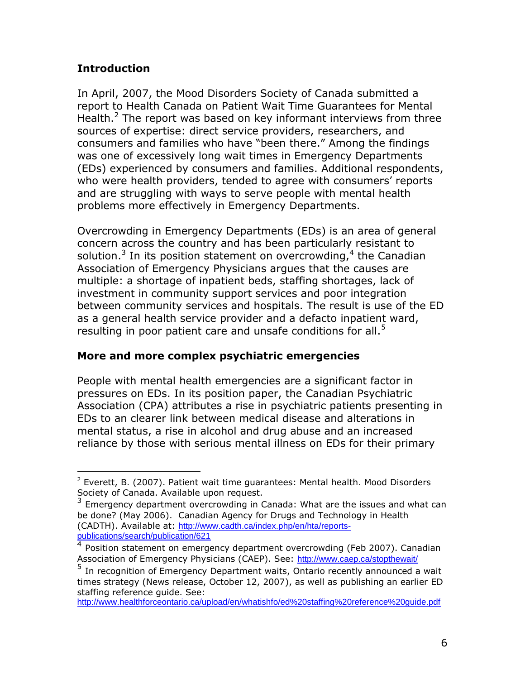### **Introduction**

In April, 2007, the Mood Disorders Society of Canada submitted a report to Health Canada on Patient Wait Time Guarantees for Mental Health. $2$  The report was based on key informant interviews from three sources of expertise: direct service providers, researchers, and consumers and families who have "been there." Among the findings was one of excessively long wait times in Emergency Departments (EDs) experienced by consumers and families. Additional respondents, who were health providers, tended to agree with consumers' reports and are struggling with ways to serve people with mental health problems more effectively in Emergency Departments.

Overcrowding in Emergency Departments (EDs) is an area of general concern across the country and has been particularly resistant to solution.<sup>3</sup> In its position statement on overcrowding,  $4$  the Canadian Association of Emergency Physicians argues that the causes are multiple: a shortage of inpatient beds, staffing shortages, lack of investment in community support services and poor integration between community services and hospitals. The result is use of the ED as a general health service provider and a defacto inpatient ward, resulting in poor patient care and unsafe conditions for all.<sup>5</sup>

### **More and more complex psychiatric emergencies**

People with mental health emergencies are a significant factor in pressures on EDs. In its position paper, the Canadian Psychiatric Association (CPA) attributes a rise in psychiatric patients presenting in EDs to an clearer link between medical disease and alterations in mental status, a rise in alcohol and drug abuse and an increased reliance by those with serious mental illness on EDs for their primary

 $\overline{a}$  $2$  Everett, B. (2007). Patient wait time guarantees: Mental health. Mood Disorders Society of Canada. Available upon request.

<sup>3</sup> Emergency department overcrowding in Canada: What are the issues and what can be done? (May 2006). Canadian Agency for Drugs and Technology in Health (CADTH). Available at: [http://www.cadth.ca/index.php/en/hta/reports](http://www.cadth.ca/index.php/en/hta/reports-publications/search/publication/621)[publications/search/publication/621](http://www.cadth.ca/index.php/en/hta/reports-publications/search/publication/621)

<sup>4</sup> Position statement on emergency department overcrowding (Feb 2007). Canadian Association of Emergency Physicians (CAEP). See: <http://www.caep.ca/stopthewait/>

<sup>5</sup> In recognition of Emergency Department waits, Ontario recently announced a wait times strategy (News release, October 12, 2007), as well as publishing an earlier ED staffing reference guide. See:

<http://www.healthforceontario.ca/upload/en/whatishfo/ed%20staffing%20reference%20guide.pdf>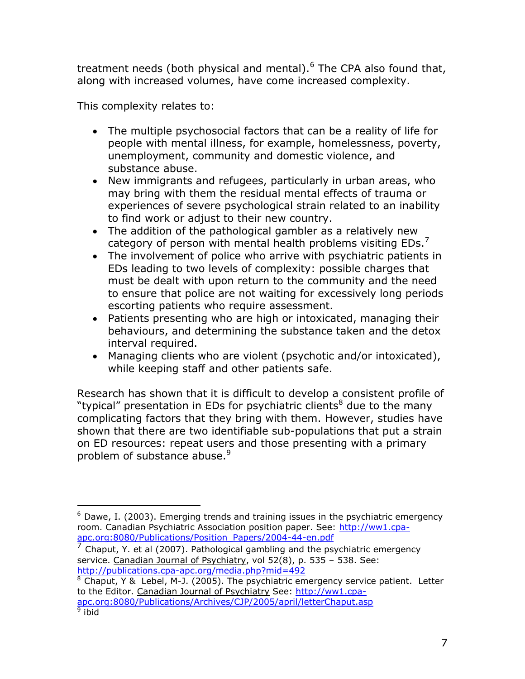treatment needs (both physical and mental). $<sup>6</sup>$  The CPA also found that,</sup> along with increased volumes, have come increased complexity.

This complexity relates to:

- The multiple psychosocial factors that can be a reality of life for people with mental illness, for example, homelessness, poverty, unemployment, community and domestic violence, and substance abuse.
- New immigrants and refugees, particularly in urban areas, who may bring with them the residual mental effects of trauma or experiences of severe psychological strain related to an inability to find work or adjust to their new country.
- The addition of the pathological gambler as a relatively new category of person with mental health problems visiting EDs.<sup>7</sup>
- The involvement of police who arrive with psychiatric patients in EDs leading to two levels of complexity: possible charges that must be dealt with upon return to the community and the need to ensure that police are not waiting for excessively long periods escorting patients who require assessment.
- Patients presenting who are high or intoxicated, managing their behaviours, and determining the substance taken and the detox interval required.
- Managing clients who are violent (psychotic and/or intoxicated), while keeping staff and other patients safe.

Research has shown that it is difficult to develop a consistent profile of "typical" presentation in EDs for psychiatric clients $8$  due to the many complicating factors that they bring with them. However, studies have shown that there are two identifiable sub-populations that put a strain on ED resources: repeat users and those presenting with a primary problem of substance abuse. $9$ 

 $\overline{a}$  $6$  Dawe, I. (2003). Emerging trends and training issues in the psychiatric emergency room. Canadian Psychiatric Association position paper. See: [http://ww1.cpa](http://ww1.cpa-apc.org:8080/Publications/Position_Papers/2004-44-en.pdf)[apc.org:8080/Publications/Position\\_Papers/2004-44-en.pdf](http://ww1.cpa-apc.org:8080/Publications/Position_Papers/2004-44-en.pdf)

<sup>7</sup> Chaput, Y. et al (2007). Pathological gambling and the psychiatric emergency service. Canadian Journal of Psychiatry, vol 52(8), p. 535 - 538. See: <http://publications.cpa-apc.org/media.php?mid=492>

 $8$  Chaput, Y & Lebel, M-J. (2005). The psychiatric emergency service patient. Letter to the Editor. Canadian Journal of Psychiatry See: [http://ww1.cpa](http://ww1.cpa-apc.org:8080/Publications/Archives/CJP/2005/april/letterChaput.asp)[apc.org:8080/Publications/Archives/CJP/2005/april/letterChaput.asp](http://ww1.cpa-apc.org:8080/Publications/Archives/CJP/2005/april/letterChaput.asp)<br><sup>9</sup> ibid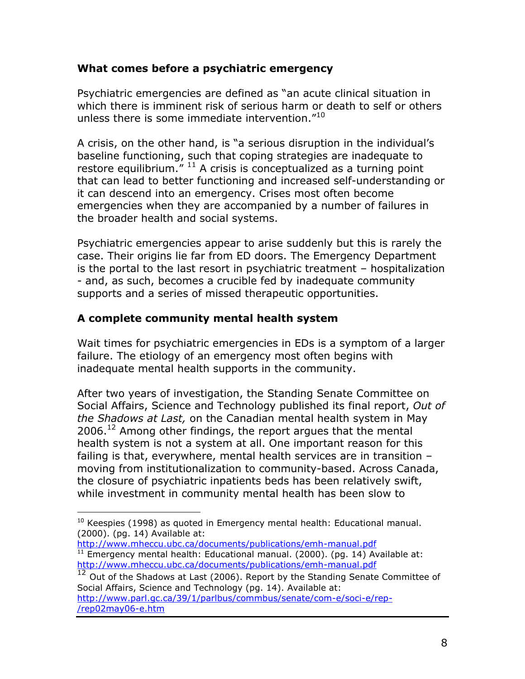#### **What comes before a psychiatric emergency**

Psychiatric emergencies are defined as "an acute clinical situation in which there is imminent risk of serious harm or death to self or others unless there is some immediate intervention."<sup>10</sup>

A crisis, on the other hand, is "a serious disruption in the individual's baseline functioning, such that coping strategies are inadequate to restore equilibrium.<sup>" 11</sup> A crisis is conceptualized as a turning point that can lead to better functioning and increased self-understanding or it can descend into an emergency. Crises most often become emergencies when they are accompanied by a number of failures in the broader health and social systems.

Psychiatric emergencies appear to arise suddenly but this is rarely the case. Their origins lie far from ED doors. The Emergency Department is the portal to the last resort in psychiatric treatment – hospitalization - and, as such, becomes a crucible fed by inadequate community supports and a series of missed therapeutic opportunities.

#### **A complete community mental health system**

 $\overline{a}$ 

Wait times for psychiatric emergencies in EDs is a symptom of a larger failure. The etiology of an emergency most often begins with inadequate mental health supports in the community.

After two years of investigation, the Standing Senate Committee on Social Affairs, Science and Technology published its final report, *Out of the Shadows at Last,* on the Canadian mental health system in May  $2006.<sup>12</sup>$  Among other findings, the report argues that the mental health system is not a system at all. One important reason for this failing is that, everywhere, mental health services are in transition – moving from institutionalization to community-based. Across Canada, the closure of psychiatric inpatients beds has been relatively swift, while investment in community mental health has been slow to

 $10$  Keespies (1998) as quoted in Emergency mental health: Educational manual. (2000). (pg. 14) Available at:

<http://www.mheccu.ubc.ca/documents/publications/emh-manual.pdf>  $11$  Emergency mental health: Educational manual. (2000). (pg. 14) Available at: <http://www.mheccu.ubc.ca/documents/publications/emh-manual.pdf>

 $12$  Out of the Shadows at Last (2006). Report by the Standing Senate Committee of Social Affairs, Science and Technology (pg. 14). Available at: [http://www.parl.gc.ca/39/1/parlbus/commbus/senate/com-e/soci-e/rep-](http://www.parl.gc.ca/39/1/parlbus/commbus/senate/com-e/soci-e/rep-e/rep02may06-e.htm) [/rep02may06-e.htm](http://www.parl.gc.ca/39/1/parlbus/commbus/senate/com-e/soci-e/rep-e/rep02may06-e.htm)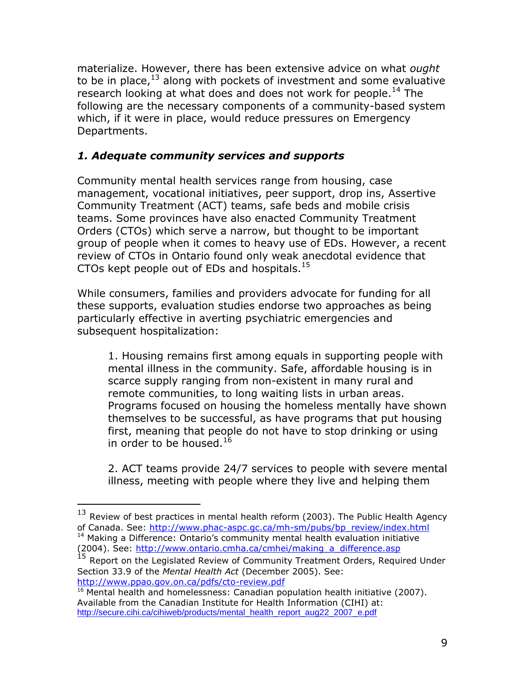materialize. However, there has been extensive advice on what *ought*  to be in place, $13$  along with pockets of investment and some evaluative research looking at what does and does not work for people.<sup>14</sup> The following are the necessary components of a community-based system which, if it were in place, would reduce pressures on Emergency Departments.

## *1. Adequate community services and supports*

Community mental health services range from housing, case management, vocational initiatives, peer support, drop ins, Assertive Community Treatment (ACT) teams, safe beds and mobile crisis teams. Some provinces have also enacted Community Treatment Orders (CTOs) which serve a narrow, but thought to be important group of people when it comes to heavy use of EDs. However, a recent review of CTOs in Ontario found only weak anecdotal evidence that CTOs kept people out of EDs and hospitals.<sup>15</sup>

While consumers, families and providers advocate for funding for all these supports, evaluation studies endorse two approaches as being particularly effective in averting psychiatric emergencies and subsequent hospitalization:

1. Housing remains first among equals in supporting people with mental illness in the community. Safe, affordable housing is in scarce supply ranging from non-existent in many rural and remote communities, to long waiting lists in urban areas. Programs focused on housing the homeless mentally have shown themselves to be successful, as have programs that put housing first, meaning that people do not have to stop drinking or using in order to be housed  $^{16}$ 

2. ACT teams provide 24/7 services to people with severe mental illness, meeting with people where they live and helping them

 $\overline{a}$ 

Report on the Legislated Review of Community Treatment Orders, Required Under Section 33.9 of the *Mental Health Act* (December 2005). See: <http://www.ppao.gov.on.ca/pdfs/cto-review.pdf>

 $13$  Review of best practices in mental health reform (2003). The Public Health Agency of Canada. See: [http://www.phac-aspc.gc.ca/mh-sm/pubs/bp\\_review/index.html](http://www.phac-aspc.gc.ca/mh-sm/pubs/bp_review/index.html) <sup>14</sup> Making a Difference: Ontario's community mental health evaluation initiative (2004). See: [http://www.ontario.cmha.ca/cmhei/making\\_a\\_difference.asp](http://www.ontario.cmha.ca/cmhei/making_a_difference.asp)<br><sup>15</sup> Renort on the Legislated Parismus C

 $16$  Mental health and homelessness: Canadian population health initiative (2007). Available from the Canadian Institute for Health Information (CIHI) at: [http://secure.cihi.ca/cihiweb/products/mental\\_health\\_report\\_aug22\\_2007\\_e.pdf](http://secure.cihi.ca/cihiweb/products/mental_health_report_aug22_2007_e.pdf)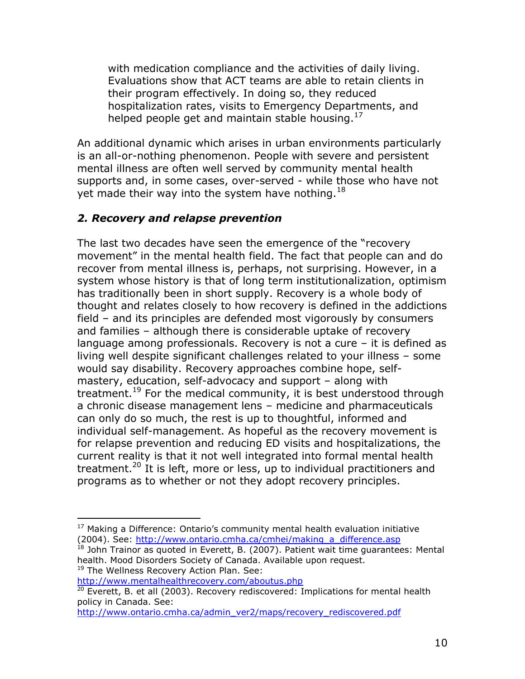with medication compliance and the activities of daily living. Evaluations show that ACT teams are able to retain clients in their program effectively. In doing so, they reduced hospitalization rates, visits to Emergency Departments, and helped people get and maintain stable housing.<sup>17</sup>

An additional dynamic which arises in urban environments particularly is an all-or-nothing phenomenon. People with severe and persistent mental illness are often well served by community mental health supports and, in some cases, over-served - while those who have not yet made their way into the system have nothing.<sup>18</sup>

### *2. Recovery and relapse prevention*

The last two decades have seen the emergence of the "recovery movement" in the mental health field. The fact that people can and do recover from mental illness is, perhaps, not surprising. However, in a system whose history is that of long term institutionalization, optimism has traditionally been in short supply. Recovery is a whole body of thought and relates closely to how recovery is defined in the addictions field – and its principles are defended most vigorously by consumers and families – although there is considerable uptake of recovery language among professionals. Recovery is not a cure – it is defined as living well despite significant challenges related to your illness – some would say disability. Recovery approaches combine hope, selfmastery, education, self-advocacy and support – along with treatment.<sup>19</sup> For the medical community, it is best understood through a chronic disease management lens – medicine and pharmaceuticals can only do so much, the rest is up to thoughtful, informed and individual self-management. As hopeful as the recovery movement is for relapse prevention and reducing ED visits and hospitalizations, the current reality is that it not well integrated into formal mental health treatment.<sup>20</sup> It is left, more or less, up to individual practitioners and programs as to whether or not they adopt recovery principles.

<sup>19</sup> The Wellness Recovery Action Plan. See:

 $\overline{a}$ 

<http://www.mentalhealthrecovery.com/aboutus.php>

 $17$  Making a Difference: Ontario's community mental health evaluation initiative (2004). See: http://www.ontario.cmha.ca/cmhei/making a difference.asp

 $^{18}$  John Trainor as quoted in Everett, B. (2007). Patient wait time guarantees: Mental health. Mood Disorders Society of Canada. Available upon request.

<sup>&</sup>lt;sup>20</sup> Everett, B. et all (2003). Recovery rediscovered: Implications for mental health policy in Canada. See:

[http://www.ontario.cmha.ca/admin\\_ver2/maps/recovery\\_rediscovered.pdf](http://www.ontario.cmha.ca/admin_ver2/maps/recovery_rediscovered.pdf)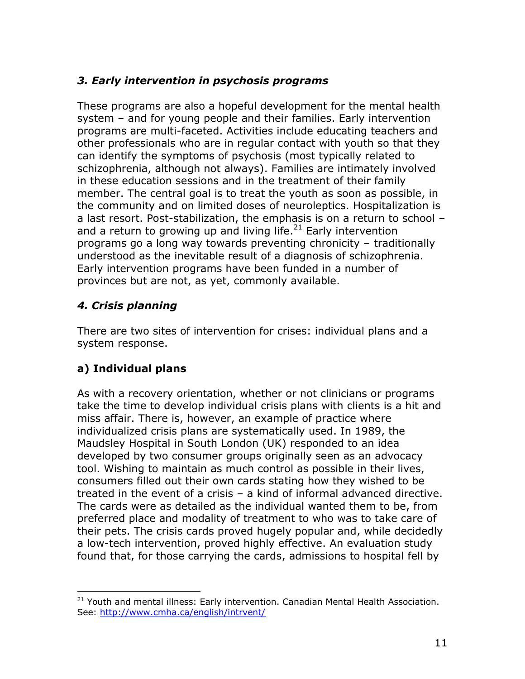# *3. Early intervention in psychosis programs*

These programs are also a hopeful development for the mental health system – and for young people and their families. Early intervention programs are multi-faceted. Activities include educating teachers and other professionals who are in regular contact with youth so that they can identify the symptoms of psychosis (most typically related to schizophrenia, although not always). Families are intimately involved in these education sessions and in the treatment of their family member. The central goal is to treat the youth as soon as possible, in the community and on limited doses of neuroleptics. Hospitalization is a last resort. Post-stabilization, the emphasis is on a return to school – and a return to growing up and living life. $^{21}$  Early intervention programs go a long way towards preventing chronicity – traditionally understood as the inevitable result of a diagnosis of schizophrenia. Early intervention programs have been funded in a number of provinces but are not, as yet, commonly available.

# *4. Crisis planning*

There are two sites of intervention for crises: individual plans and a system response.

# **a) Individual plans**

 $\overline{a}$ 

As with a recovery orientation, whether or not clinicians or programs take the time to develop individual crisis plans with clients is a hit and miss affair. There is, however, an example of practice where individualized crisis plans are systematically used. In 1989, the Maudsley Hospital in South London (UK) responded to an idea developed by two consumer groups originally seen as an advocacy tool. Wishing to maintain as much control as possible in their lives, consumers filled out their own cards stating how they wished to be treated in the event of a crisis – a kind of informal advanced directive. The cards were as detailed as the individual wanted them to be, from preferred place and modality of treatment to who was to take care of their pets. The crisis cards proved hugely popular and, while decidedly a low-tech intervention, proved highly effective. An evaluation study found that, for those carrying the cards, admissions to hospital fell by

<sup>&</sup>lt;sup>21</sup> Youth and mental illness: Early intervention. Canadian Mental Health Association. See:<http://www.cmha.ca/english/intrvent/>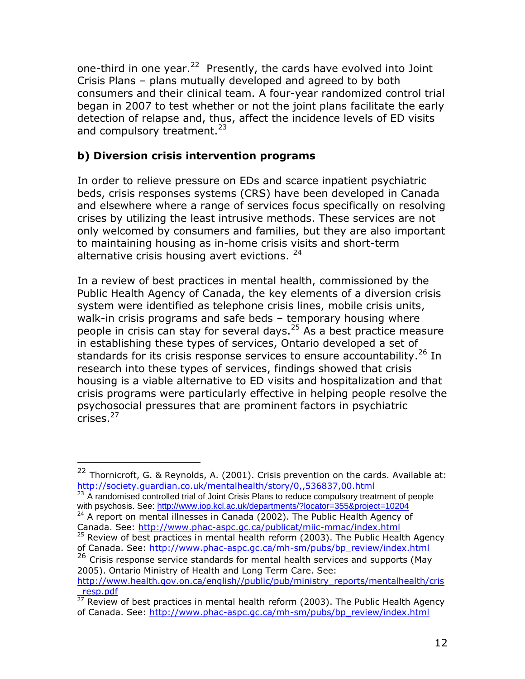one-third in one year.<sup>22</sup> Presently, the cards have evolved into Joint Crisis Plans – plans mutually developed and agreed to by both consumers and their clinical team. A four-year randomized control trial began in 2007 to test whether or not the joint plans facilitate the early detection of relapse and, thus, affect the incidence levels of ED visits and compulsory treatment.<sup>23</sup>

## **b) Diversion crisis intervention programs**

In order to relieve pressure on EDs and scarce inpatient psychiatric beds, crisis responses systems (CRS) have been developed in Canada and elsewhere where a range of services focus specifically on resolving crises by utilizing the least intrusive methods. These services are not only welcomed by consumers and families, but they are also important to maintaining housing as in-home crisis visits and short-term alternative crisis housing avert evictions. <sup>24</sup>

In a review of best practices in mental health, commissioned by the Public Health Agency of Canada, the key elements of a diversion crisis system were identified as telephone crisis lines, mobile crisis units, walk-in crisis programs and safe beds – temporary housing where people in crisis can stay for several days.  $25$  As a best practice measure in establishing these types of services, Ontario developed a set of standards for its crisis response services to ensure accountability.<sup>26</sup> In research into these types of services, findings showed that crisis housing is a viable alternative to ED visits and hospitalization and that crisis programs were particularly effective in helping people resolve the psychosocial pressures that are prominent factors in psychiatric crises.<sup>27</sup>

<sup>&</sup>lt;sup>22</sup> Thornicroft, G. & Reynolds, A. (2001). Crisis prevention on the cards. Available at: <http://society.guardian.co.uk/mentalhealth/story/0,,536837,00.html>

<sup>&</sup>lt;sup>23</sup> A randomised controlled trial of Joint Crisis Plans to reduce compulsory treatment of people with psychosis. See:<http://www.iop.kcl.ac.uk/departments/?locator=355&project=10204>

 $24$  A report on mental illnesses in Canada (2002). The Public Health Agency of Canada. See:<http://www.phac-aspc.gc.ca/publicat/miic-mmac/index.html>

 $25$  Review of best practices in mental health reform (2003). The Public Health Agency of Canada. See: [http://www.phac-aspc.gc.ca/mh-sm/pubs/bp\\_review/index.html](http://www.phac-aspc.gc.ca/mh-sm/pubs/bp_review/index.html)

<sup>26</sup> Crisis response service standards for mental health services and supports (May 2005). Ontario Ministry of Health and Long Term Care. See:

[http://www.health.gov.on.ca/english//public/pub/ministry\\_reports/mentalhealth/cris](http://www.health.gov.on.ca/english/public/pub/ministry_reports/mentalhealth/cris_resp.pdf) [\\_resp.pdf](http://www.health.gov.on.ca/english/public/pub/ministry_reports/mentalhealth/cris_resp.pdf)

<sup>&</sup>lt;sup>1</sup> Capipul<br><sup>27</sup> Review of best practices in mental health reform (2003). The Public Health Agency of Canada. See: [http://www.phac-aspc.gc.ca/mh-sm/pubs/bp\\_review/index.html](http://www.phac-aspc.gc.ca/mh-sm/pubs/bp_review/index.html)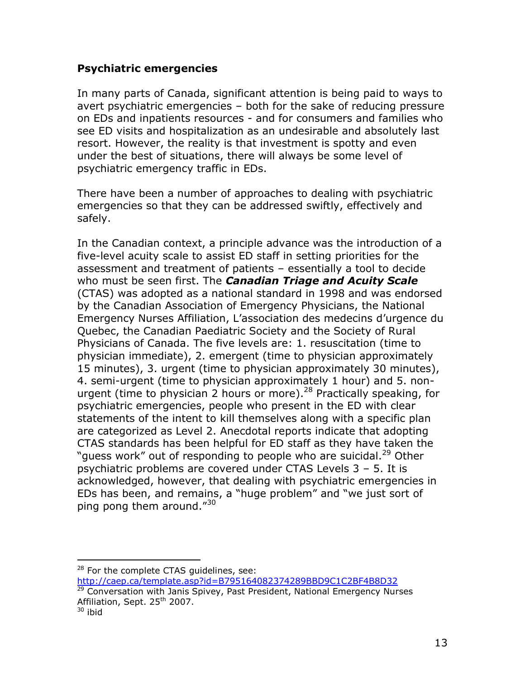#### **Psychiatric emergencies**

In many parts of Canada, significant attention is being paid to ways to avert psychiatric emergencies – both for the sake of reducing pressure on EDs and inpatients resources - and for consumers and families who see ED visits and hospitalization as an undesirable and absolutely last resort. However, the reality is that investment is spotty and even under the best of situations, there will always be some level of psychiatric emergency traffic in EDs.

There have been a number of approaches to dealing with psychiatric emergencies so that they can be addressed swiftly, effectively and safely.

In the Canadian context, a principle advance was the introduction of a five-level acuity scale to assist ED staff in setting priorities for the assessment and treatment of patients – essentially a tool to decide who must be seen first. The *Canadian Triage and Acuity Scale* (CTAS) was adopted as a national standard in 1998 and was endorsed by the Canadian Association of Emergency Physicians, the National Emergency Nurses Affiliation, L'association des medecins d'urgence du Quebec, the Canadian Paediatric Society and the Society of Rural Physicians of Canada. The five levels are: 1. resuscitation (time to physician immediate), 2. emergent (time to physician approximately 15 minutes), 3. urgent (time to physician approximately 30 minutes), 4. semi-urgent (time to physician approximately 1 hour) and 5. nonurgent (time to physician 2 hours or more).<sup>28</sup> Practically speaking, for psychiatric emergencies, people who present in the ED with clear statements of the intent to kill themselves along with a specific plan are categorized as Level 2. Anecdotal reports indicate that adopting CTAS standards has been helpful for ED staff as they have taken the "quess work" out of responding to people who are suicidal.<sup>29</sup> Other psychiatric problems are covered under CTAS Levels 3 – 5. It is acknowledged, however, that dealing with psychiatric emergencies in EDs has been, and remains, a "huge problem" and "we just sort of ping pong them around."30

 $28$  For the complete CTAS guidelines, see:

<http://caep.ca/template.asp?id=B795164082374289BBD9C1C2BF4B8D32> 29 Conversation with Janis Spivey, Past President, National Emergency Nurses Affiliation, Sept. 25<sup>th</sup> 2007.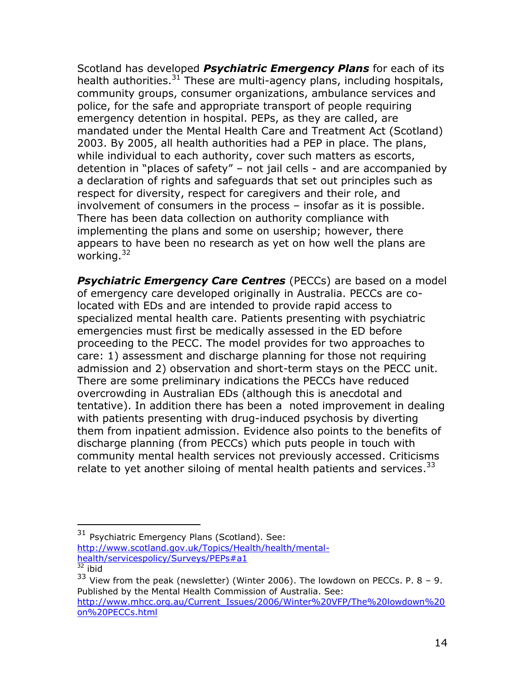Scotland has developed *Psychiatric Emergency Plans* for each of its health authorities. $31$  These are multi-agency plans, including hospitals, community groups, consumer organizations, ambulance services and police, for the safe and appropriate transport of people requiring emergency detention in hospital. PEPs, as they are called, are mandated under the Mental Health Care and Treatment Act (Scotland) 2003. By 2005, all health authorities had a PEP in place. The plans, while individual to each authority, cover such matters as escorts, detention in "places of safety" – not jail cells - and are accompanied by a declaration of rights and safeguards that set out principles such as respect for diversity, respect for caregivers and their role, and involvement of consumers in the process – insofar as it is possible. There has been data collection on authority compliance with implementing the plans and some on usership; however, there appears to have been no research as yet on how well the plans are working. $32$ 

**Psychiatric Emergency Care Centres** (PECCs) are based on a model of emergency care developed originally in Australia. PECCs are colocated with EDs and are intended to provide rapid access to specialized mental health care. Patients presenting with psychiatric emergencies must first be medically assessed in the ED before proceeding to the PECC. The model provides for two approaches to care: 1) assessment and discharge planning for those not requiring admission and 2) observation and short-term stays on the PECC unit. There are some preliminary indications the PECCs have reduced overcrowding in Australian EDs (although this is anecdotal and tentative). In addition there has been a noted improvement in dealing with patients presenting with drug-induced psychosis by diverting them from inpatient admission. Evidence also points to the benefits of discharge planning (from PECCs) which puts people in touch with community mental health services not previously accessed. Criticisms relate to yet another siloing of mental health patients and services.<sup>33</sup>

<sup>31</sup> Psychiatric Emergency Plans (Scotland). See: [http://www.scotland.gov.uk/Topics/Health/health/mental](http://www.scotland.gov.uk/Topics/Health/health/mental-health/servicespolicy/Surveys/PEPs#a1)[health/servicespolicy/Surveys/PEPs#a1](http://www.scotland.gov.uk/Topics/Health/health/mental-health/servicespolicy/Surveys/PEPs#a1)

<sup>&</sup>lt;sup>32</sup> ibid

 $33$  View from the peak (newsletter) (Winter 2006). The lowdown on PECCs. P. 8 - 9. Published by the Mental Health Commission of Australia. See: [http://www.mhcc.org.au/Current\\_Issues/2006/Winter%20VFP/The%20lowdown%20](http://www.mhcc.org.au/Current_Issues/2006/Winter%20VFP/The%20lowdown%20on%20PECCs.html) [on%20PECCs.html](http://www.mhcc.org.au/Current_Issues/2006/Winter%20VFP/The%20lowdown%20on%20PECCs.html)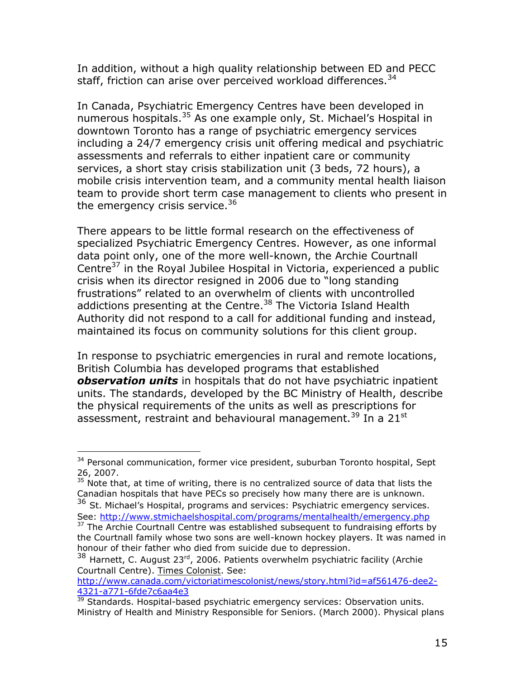In addition, without a high quality relationship between ED and PECC staff, friction can arise over perceived workload differences.  $34$ 

In Canada, Psychiatric Emergency Centres have been developed in numerous hospitals.<sup>35</sup> As one example only, St. Michael's Hospital in downtown Toronto has a range of psychiatric emergency services including a 24/7 emergency crisis unit offering medical and psychiatric assessments and referrals to either inpatient care or community services, a short stay crisis stabilization unit (3 beds, 72 hours), a mobile crisis intervention team, and a community mental health liaison team to provide short term case management to clients who present in the emergency crisis service.<sup>36</sup>

There appears to be little formal research on the effectiveness of specialized Psychiatric Emergency Centres. However, as one informal data point only, one of the more well-known, the Archie Courtnall Centre $37$  in the Royal Jubilee Hospital in Victoria, experienced a public crisis when its director resigned in 2006 due to "long standing frustrations" related to an overwhelm of clients with uncontrolled addictions presenting at the Centre. $38$  The Victoria Island Health Authority did not respond to a call for additional funding and instead, maintained its focus on community solutions for this client group.

In response to psychiatric emergencies in rural and remote locations, British Columbia has developed programs that established *observation units* in hospitals that do not have psychiatric inpatient units. The standards, developed by the BC Ministry of Health, describe the physical requirements of the units as well as prescriptions for assessment, restraint and behavioural management.<sup>39</sup> In a  $21^{st}$ 

 $\overline{a}$ <sup>34</sup> Personal communication, former vice president, suburban Toronto hospital, Sept 26, 2007.

 $35$  Note that, at time of writing, there is no centralized source of data that lists the Canadian hospitals that have PECs so precisely how many there are is unknown.

 $36$  St. Michael's Hospital, programs and services: Psychiatric emergency services. See:<http://www.stmichaelshospital.com/programs/mentalhealth/emergency.php>

<sup>&</sup>lt;sup>37</sup> The Archie Courtnall Centre was established subsequent to fundraising efforts by the Courtnall family whose two sons are well-known hockey players. It was named in honour of their father who died from suicide due to depression.

 $38$  Harnett, C. August 23<sup>rd</sup>, 2006. Patients overwhelm psychiatric facility (Archie Courtnall Centre). Times Colonist. See:

[http://www.canada.com/victoriatimescolonist/news/story.html?id=af561476-dee2-](http://www.canada.com/victoriatimescolonist/news/story.html?id=af561476-dee2-4321-a771-6fde7c6aa4e3) [4321-a771-6fde7c6aa4e3](http://www.canada.com/victoriatimescolonist/news/story.html?id=af561476-dee2-4321-a771-6fde7c6aa4e3)

 $39$  Standards. Hospital-based psychiatric emergency services: Observation units. Ministry of Health and Ministry Responsible for Seniors. (March 2000). Physical plans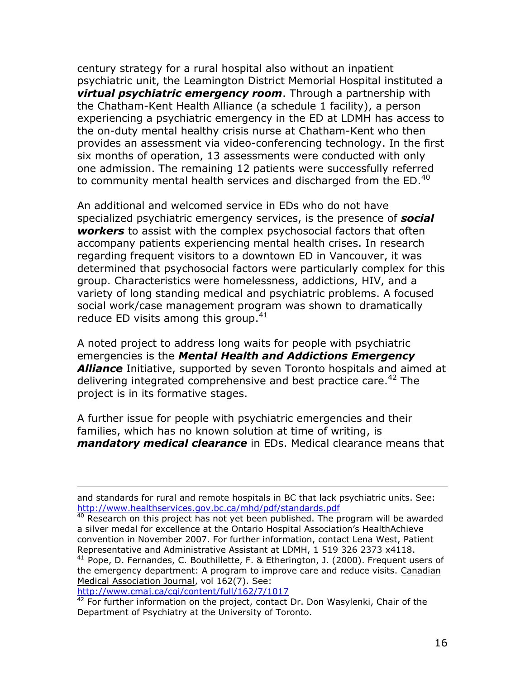century strategy for a rural hospital also without an inpatient psychiatric unit, the Leamington District Memorial Hospital instituted a *virtual psychiatric emergency room*. Through a partnership with the Chatham-Kent Health Alliance (a schedule 1 facility), a person experiencing a psychiatric emergency in the ED at LDMH has access to the on-duty mental healthy crisis nurse at Chatham-Kent who then provides an assessment via video-conferencing technology. In the first six months of operation, 13 assessments were conducted with only one admission. The remaining 12 patients were successfully referred to community mental health services and discharged from the  $ED.^{40}$ 

An additional and welcomed service in EDs who do not have specialized psychiatric emergency services, is the presence of *social workers* to assist with the complex psychosocial factors that often accompany patients experiencing mental health crises. In research regarding frequent visitors to a downtown ED in Vancouver, it was determined that psychosocial factors were particularly complex for this group. Characteristics were homelessness, addictions, HIV, and a variety of long standing medical and psychiatric problems. A focused social work/case management program was shown to dramatically reduce ED visits among this group. $41$ 

A noted project to address long waits for people with psychiatric emergencies is the *Mental Health and Addictions Emergency Alliance* Initiative, supported by seven Toronto hospitals and aimed at delivering integrated comprehensive and best practice care.<sup>42</sup> The project is in its formative stages.

A further issue for people with psychiatric emergencies and their families, which has no known solution at time of writing, is *mandatory medical clearance* in EDs. Medical clearance means that

<http://www.cmaj.ca/cgi/content/full/162/7/1017>

and standards for rural and remote hospitals in BC that lack psychiatric units. See: <http://www.healthservices.gov.bc.ca/mhd/pdf/standards.pdf>

 $40$  Research on this project has not yet been published. The program will be awarded a silver medal for excellence at the Ontario Hospital Association's HealthAchieve convention in November 2007. For further information, contact Lena West, Patient Representative and Administrative Assistant at LDMH, 1 519 326 2373 x4118.

<sup>&</sup>lt;sup>41</sup> Pope, D. Fernandes, C. Bouthillette, F. & Etherington, J. (2000). Frequent users of the emergency department: A program to improve care and reduce visits. Canadian Medical Association Journal, vol 162(7). See:

 $42$  For further information on the project, contact Dr. Don Wasylenki, Chair of the Department of Psychiatry at the University of Toronto.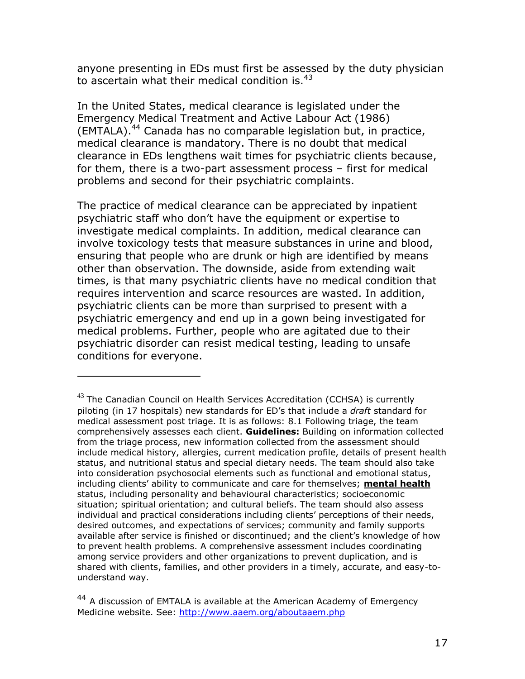anyone presenting in EDs must first be assessed by the duty physician to ascertain what their medical condition is. $43$ 

In the United States, medical clearance is legislated under the Emergency Medical Treatment and Active Labour Act (1986) (EMTALA). <sup>44</sup> Canada has no comparable legislation but, in practice, medical clearance is mandatory. There is no doubt that medical clearance in EDs lengthens wait times for psychiatric clients because, for them, there is a two-part assessment process – first for medical problems and second for their psychiatric complaints.

The practice of medical clearance can be appreciated by inpatient psychiatric staff who don't have the equipment or expertise to investigate medical complaints. In addition, medical clearance can involve toxicology tests that measure substances in urine and blood, ensuring that people who are drunk or high are identified by means other than observation. The downside, aside from extending wait times, is that many psychiatric clients have no medical condition that requires intervention and scarce resources are wasted. In addition, psychiatric clients can be more than surprised to present with a psychiatric emergency and end up in a gown being investigated for medical problems. Further, people who are agitated due to their psychiatric disorder can resist medical testing, leading to unsafe conditions for everyone.

 $43$  The Canadian Council on Health Services Accreditation (CCHSA) is currently piloting (in 17 hospitals) new standards for ED's that include a *draft* standard for medical assessment post triage. It is as follows: 8.1 Following triage, the team comprehensively assesses each client. **Guidelines:** Building on information collected from the triage process, new information collected from the assessment should include medical history, allergies, current medication profile, details of present health status, and nutritional status and special dietary needs. The team should also take into consideration psychosocial elements such as functional and emotional status, including clients' ability to communicate and care for themselves; **mental health** status, including personality and behavioural characteristics; socioeconomic situation; spiritual orientation; and cultural beliefs. The team should also assess individual and practical considerations including clients' perceptions of their needs, desired outcomes, and expectations of services; community and family supports available after service is finished or discontinued; and the client's knowledge of how to prevent health problems. A comprehensive assessment includes coordinating among service providers and other organizations to prevent duplication, and is shared with clients, families, and other providers in a timely, accurate, and easy-tounderstand way.

 $44$  A discussion of EMTALA is available at the American Academy of Emergency Medicine website. See:<http://www.aaem.org/aboutaaem.php>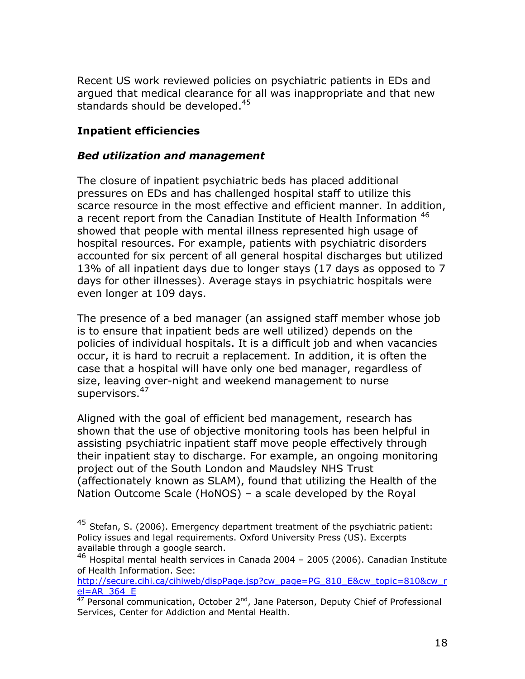Recent US work reviewed policies on psychiatric patients in EDs and argued that medical clearance for all was inappropriate and that new standards should be developed.<sup>45</sup>

### **Inpatient efficiencies**

 $\overline{a}$ 

#### *Bed utilization and management*

The closure of inpatient psychiatric beds has placed additional pressures on EDs and has challenged hospital staff to utilize this scarce resource in the most effective and efficient manner. In addition, a recent report from the Canadian Institute of Health Information <sup>46</sup> showed that people with mental illness represented high usage of hospital resources. For example, patients with psychiatric disorders accounted for six percent of all general hospital discharges but utilized 13% of all inpatient days due to longer stays (17 days as opposed to 7 days for other illnesses). Average stays in psychiatric hospitals were even longer at 109 days.

The presence of a bed manager (an assigned staff member whose job is to ensure that inpatient beds are well utilized) depends on the policies of individual hospitals. It is a difficult job and when vacancies occur, it is hard to recruit a replacement. In addition, it is often the case that a hospital will have only one bed manager, regardless of size, leaving over-night and weekend management to nurse supervisors.<sup>47</sup>

Aligned with the goal of efficient bed management, research has shown that the use of objective monitoring tools has been helpful in assisting psychiatric inpatient staff move people effectively through their inpatient stay to discharge. For example, an ongoing monitoring project out of the South London and Maudsley NHS Trust (affectionately known as SLAM), found that utilizing the Health of the Nation Outcome Scale (HoNOS) – a scale developed by the Royal

 $^{45}$  Stefan, S. (2006). Emergency department treatment of the psychiatric patient: Policy issues and legal requirements. Oxford University Press (US). Excerpts available through a google search.

<sup>46</sup> Hospital mental health services in Canada 2004 – 2005 (2006). Canadian Institute of Health Information. See:

[http://secure.cihi.ca/cihiweb/dispPage.jsp?cw\\_page=PG\\_810\\_E&cw\\_topic=810&cw\\_r](http://secure.cihi.ca/cihiweb/dispPage.jsp?cw_page=PG_810_E&cw_topic=810&cw_rel=AR_364_E)  $el=AR$  364 E

 $\frac{47}{47}$  Personal communication, October 2<sup>nd</sup>, Jane Paterson, Deputy Chief of Professional Services, Center for Addiction and Mental Health.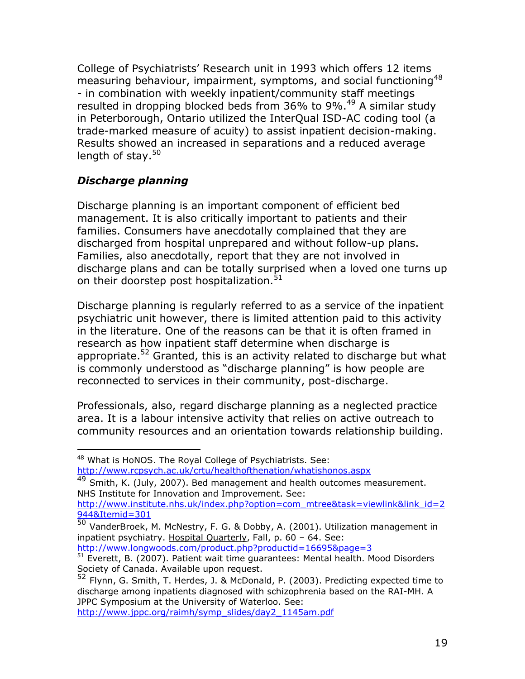College of Psychiatrists' Research unit in 1993 which offers 12 items measuring behaviour, impairment, symptoms, and social functioning<sup>48</sup> - in combination with weekly inpatient/community staff meetings resulted in dropping blocked beds from 36% to 9%.<sup>49</sup> A similar study in Peterborough, Ontario utilized the InterQual ISD-AC coding tool (a trade-marked measure of acuity) to assist inpatient decision-making. Results showed an increased in separations and a reduced average length of stay. $50<sub>0</sub>$ 

# *Discharge planning*

Discharge planning is an important component of efficient bed management. It is also critically important to patients and their families. Consumers have anecdotally complained that they are discharged from hospital unprepared and without follow-up plans. Families, also anecdotally, report that they are not involved in discharge plans and can be totally surprised when a loved one turns up on their doorstep post hospitalization.<sup>51</sup>

Discharge planning is regularly referred to as a service of the inpatient psychiatric unit however, there is limited attention paid to this activity in the literature. One of the reasons can be that it is often framed in research as how inpatient staff determine when discharge is appropriate.<sup>52</sup> Granted, this is an activity related to discharge but what is commonly understood as "discharge planning" is how people are reconnected to services in their community, post-discharge.

Professionals, also, regard discharge planning as a neglected practice area. It is a labour intensive activity that relies on active outreach to community resources and an orientation towards relationship building.

 $\overline{a}$ 

[http://www.jppc.org/raimh/symp\\_slides/day2\\_1145am.pdf](http://www.jppc.org/raimh/symp_slides/day2_1145am.pdf)

<sup>&</sup>lt;sup>48</sup> What is HoNOS. The Royal College of Psychiatrists. See: <http://www.rcpsych.ac.uk/crtu/healthofthenation/whatishonos.aspx>

<sup>49</sup> Smith, K. (July, 2007). Bed management and health outcomes measurement. NHS Institute for Innovation and Improvement. See: [http://www.institute.nhs.uk/index.php?option=com\\_mtree&task=viewlink&link\\_id=2](http://www.institute.nhs.uk/index.php?option=com_mtree&task=viewlink&link_id=2944&Itemid=301)

[<sup>944&</sup>amp;Itemid=301](http://www.institute.nhs.uk/index.php?option=com_mtree&task=viewlink&link_id=2944&Itemid=301)

<sup>50</sup> VanderBroek, M. McNestry, F. G. & Dobby, A. (2001). Utilization management in inpatient psychiatry. Hospital Quarterly, Fall, p. 60 - 64. See: <http://www.longwoods.com/product.php?productid=16695&page=3>

<sup>51</sup> Everett, B. (2007). Patient wait time guarantees: Mental health. Mood Disorders Society of Canada. Available upon request.

<sup>52</sup> Flynn, G. Smith, T. Herdes, J. & McDonald, P. (2003). Predicting expected time to discharge among inpatients diagnosed with schizophrenia based on the RAI-MH. A JPPC Symposium at the University of Waterloo. See: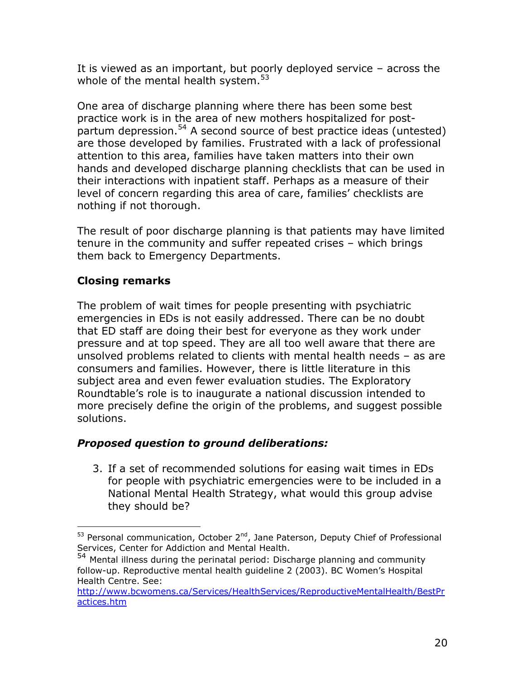It is viewed as an important, but poorly deployed service – across the whole of the mental health system.<sup>53</sup>

One area of discharge planning where there has been some best practice work is in the area of new mothers hospitalized for postpartum depression.<sup>54</sup> A second source of best practice ideas (untested) are those developed by families. Frustrated with a lack of professional attention to this area, families have taken matters into their own hands and developed discharge planning checklists that can be used in their interactions with inpatient staff. Perhaps as a measure of their level of concern regarding this area of care, families' checklists are nothing if not thorough.

The result of poor discharge planning is that patients may have limited tenure in the community and suffer repeated crises – which brings them back to Emergency Departments.

# **Closing remarks**

 $\overline{a}$ 

The problem of wait times for people presenting with psychiatric emergencies in EDs is not easily addressed. There can be no doubt that ED staff are doing their best for everyone as they work under pressure and at top speed. They are all too well aware that there are unsolved problems related to clients with mental health needs – as are consumers and families. However, there is little literature in this subject area and even fewer evaluation studies. The Exploratory Roundtable's role is to inaugurate a national discussion intended to more precisely define the origin of the problems, and suggest possible solutions.

### *Proposed question to ground deliberations:*

3. If a set of recommended solutions for easing wait times in EDs for people with psychiatric emergencies were to be included in a National Mental Health Strategy, what would this group advise they should be?

 $53$  Personal communication, October 2<sup>nd</sup>, Jane Paterson, Deputy Chief of Professional Services, Center for Addiction and Mental Health.

<sup>&</sup>lt;sup>54</sup> Mental illness during the perinatal period: Discharge planning and community follow-up. Reproductive mental health guideline 2 (2003). BC Women's Hospital Health Centre. See:

[http://www.bcwomens.ca/Services/HealthServices/ReproductiveMentalHealth/BestPr](http://www.bcwomens.ca/Services/HealthServices/ReproductiveMentalHealth/BestPractices.htm) [actices.htm](http://www.bcwomens.ca/Services/HealthServices/ReproductiveMentalHealth/BestPractices.htm)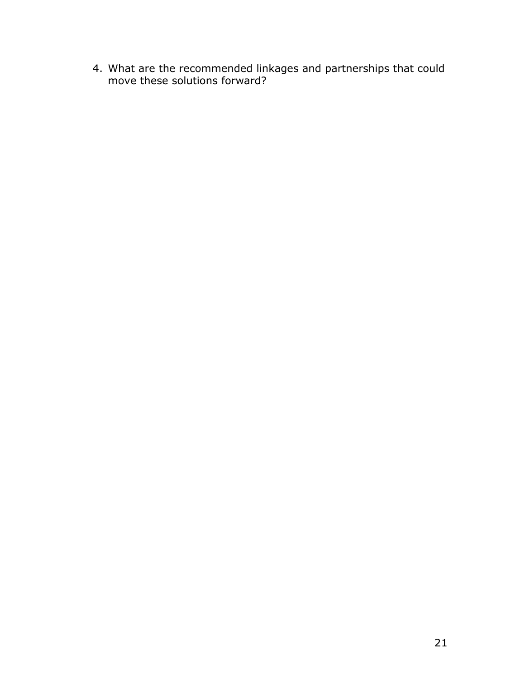4. What are the recommended linkages and partnerships that could move these solutions forward?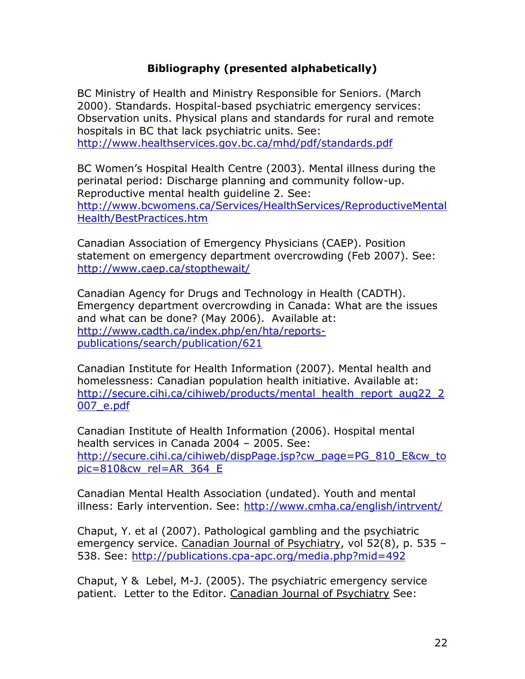### **Bibliography (presented alphabetically)**

BC Ministry of Health and Ministry Responsible for Seniors. (March 2000). Standards. Hospital-based psychiatric emergency services: Observation units. Physical plans and standards for rural and remote hospitals in BC that lack psychiatric units. See: <http://www.healthservices.gov.bc.ca/mhd/pdf/standards.pdf>

BC Women's Hospital Health Centre (2003). Mental illness during the perinatal period: Discharge planning and community follow-up. Reproductive mental health guideline 2. See: [http://www.bcwomens.ca/Services/HealthServices/ReproductiveMental](http://www.bcwomens.ca/Services/HealthServices/ReproductiveMentalHealth/BestPractices.htm) [Health/BestPractices.htm](http://www.bcwomens.ca/Services/HealthServices/ReproductiveMentalHealth/BestPractices.htm)

Canadian Association of Emergency Physicians (CAEP). Position statement on emergency department overcrowding (Feb 2007). See: <http://www.caep.ca/stopthewait/>

Canadian Agency for Drugs and Technology in Health (CADTH). Emergency department overcrowding in Canada: What are the issues and what can be done? (May 2006). Available at: [http://www.cadth.ca/index.php/en/hta/reports](http://www.cadth.ca/index.php/en/hta/reports-publications/search/publication/621)[publications/search/publication/621](http://www.cadth.ca/index.php/en/hta/reports-publications/search/publication/621)

Canadian Institute for Health Information (2007). Mental health and homelessness: Canadian population health initiative. Available at: http://secure.cihi.ca/cihiweb/products/mental health report aug22\_2 [007\\_e.pdf](http://secure.cihi.ca/cihiweb/products/mental_health_report_aug22_2007_e.pdf)

Canadian Institute of Health Information (2006). Hospital mental health services in Canada 2004 – 2005. See: [http://secure.cihi.ca/cihiweb/dispPage.jsp?cw\\_page=PG\\_810\\_E&cw\\_to](http://secure.cihi.ca/cihiweb/dispPage.jsp?cw_page=PG_810_E&cw_topic=810&cw_rel=AR_364_E) [pic=810&cw\\_rel=AR\\_364\\_E](http://secure.cihi.ca/cihiweb/dispPage.jsp?cw_page=PG_810_E&cw_topic=810&cw_rel=AR_364_E)

Canadian Mental Health Association (undated). Youth and mental illness: Early intervention. See:<http://www.cmha.ca/english/intrvent/>

Chaput, Y. et al (2007). Pathological gambling and the psychiatric emergency service. Canadian Journal of Psychiatry, vol 52(8), p. 535 -538. See:<http://publications.cpa-apc.org/media.php?mid=492>

Chaput, Y & Lebel, M-J. (2005). The psychiatric emergency service patient. Letter to the Editor. Canadian Journal of Psychiatry See: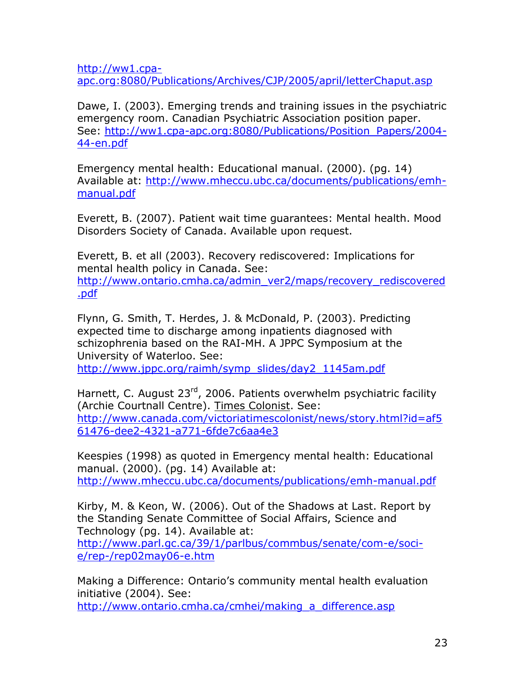[http://ww1.cpa](http://ww1.cpa-apc.org:8080/Publications/Archives/CJP/2005/april/letterChaput.asp)[apc.org:8080/Publications/Archives/CJP/2005/april/letterChaput.asp](http://ww1.cpa-apc.org:8080/Publications/Archives/CJP/2005/april/letterChaput.asp)

Dawe, I. (2003). Emerging trends and training issues in the psychiatric emergency room. Canadian Psychiatric Association position paper. See: [http://ww1.cpa-apc.org:8080/Publications/Position\\_Papers/2004-](http://ww1.cpa-apc.org:8080/Publications/Position_Papers/2004-44-en.pdf) [44-en.pdf](http://ww1.cpa-apc.org:8080/Publications/Position_Papers/2004-44-en.pdf)

Emergency mental health: Educational manual. (2000). (pg. 14) Available at: [http://www.mheccu.ubc.ca/documents/publications/emh](http://www.mheccu.ubc.ca/documents/publications/emh-manual.pdf)[manual.pdf](http://www.mheccu.ubc.ca/documents/publications/emh-manual.pdf)

Everett, B. (2007). Patient wait time guarantees: Mental health. Mood Disorders Society of Canada. Available upon request.

Everett, B. et all (2003). Recovery rediscovered: Implications for mental health policy in Canada. See:

[http://www.ontario.cmha.ca/admin\\_ver2/maps/recovery\\_rediscovered](http://www.ontario.cmha.ca/admin_ver2/maps/recovery_rediscovered.pdf) [.pdf](http://www.ontario.cmha.ca/admin_ver2/maps/recovery_rediscovered.pdf)

Flynn, G. Smith, T. Herdes, J. & McDonald, P. (2003). Predicting expected time to discharge among inpatients diagnosed with schizophrenia based on the RAI-MH. A JPPC Symposium at the University of Waterloo. See:

[http://www.jppc.org/raimh/symp\\_slides/day2\\_1145am.pdf](http://www.jppc.org/raimh/symp_slides/day2_1145am.pdf)

Harnett, C. August 23<sup>rd</sup>, 2006. Patients overwhelm psychiatric facility (Archie Courtnall Centre). Times Colonist. See: [http://www.canada.com/victoriatimescolonist/news/story.html?id=af5](http://www.canada.com/victoriatimescolonist/news/story.html?id=af561476-dee2-4321-a771-6fde7c6aa4e3) [61476-dee2-4321-a771-6fde7c6aa4e3](http://www.canada.com/victoriatimescolonist/news/story.html?id=af561476-dee2-4321-a771-6fde7c6aa4e3)

Keespies (1998) as quoted in Emergency mental health: Educational manual. (2000). (pg. 14) Available at: <http://www.mheccu.ubc.ca/documents/publications/emh-manual.pdf>

Kirby, M. & Keon, W. (2006). Out of the Shadows at Last. Report by the Standing Senate Committee of Social Affairs, Science and Technology (pg. 14). Available at:

[http://www.parl.gc.ca/39/1/parlbus/commbus/senate/com-e/soci](http://www.parl.gc.ca/39/1/parlbus/commbus/senate/com-e/soci-e/rep-e/rep02may06-e.htm)[e/rep-/rep02may06-e.htm](http://www.parl.gc.ca/39/1/parlbus/commbus/senate/com-e/soci-e/rep-e/rep02may06-e.htm)

Making a Difference: Ontario's community mental health evaluation initiative (2004). See:

[http://www.ontario.cmha.ca/cmhei/making\\_a\\_difference.asp](http://www.ontario.cmha.ca/cmhei/making_a_difference.asp)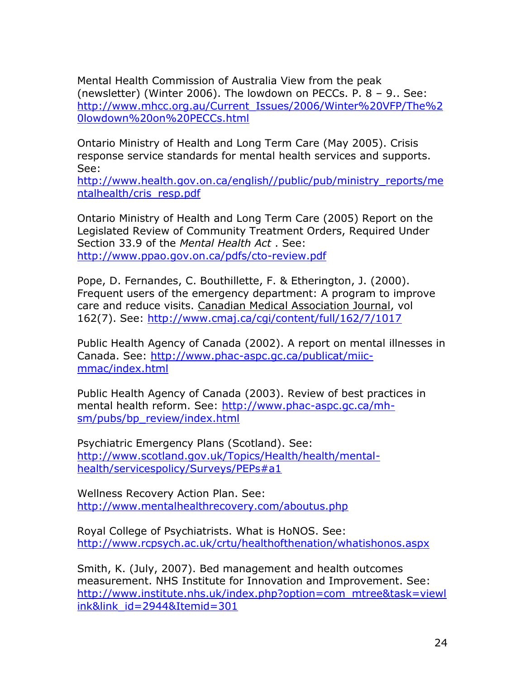Mental Health Commission of Australia View from the peak (newsletter) (Winter 2006). The lowdown on PECCs. P. 8 – 9.. See: [http://www.mhcc.org.au/Current\\_Issues/2006/Winter%20VFP/The%2](http://www.mhcc.org.au/Current_Issues/2006/Winter%20VFP/The%20lowdown%20on%20PECCs.html) [0lowdown%20on%20PECCs.html](http://www.mhcc.org.au/Current_Issues/2006/Winter%20VFP/The%20lowdown%20on%20PECCs.html)

Ontario Ministry of Health and Long Term Care (May 2005). Crisis response service standards for mental health services and supports. See:

[http://www.health.gov.on.ca/english//public/pub/ministry\\_reports/me](http://www.health.gov.on.ca/english/public/pub/ministry_reports/mentalhealth/cris_resp.pdf) [ntalhealth/cris\\_resp.pdf](http://www.health.gov.on.ca/english/public/pub/ministry_reports/mentalhealth/cris_resp.pdf)

Ontario Ministry of Health and Long Term Care (2005) Report on the Legislated Review of Community Treatment Orders, Required Under Section 33.9 of the *Mental Health Act* . See: <http://www.ppao.gov.on.ca/pdfs/cto-review.pdf>

Pope, D. Fernandes, C. Bouthillette, F. & Etherington, J. (2000). Frequent users of the emergency department: A program to improve care and reduce visits. Canadian Medical Association Journal, vol 162(7). See:<http://www.cmaj.ca/cgi/content/full/162/7/1017>

Public Health Agency of Canada (2002). A report on mental illnesses in Canada. See: [http://www.phac-aspc.gc.ca/publicat/miic](http://www.phac-aspc.gc.ca/publicat/miic-mmac/index.html)[mmac/index.html](http://www.phac-aspc.gc.ca/publicat/miic-mmac/index.html)

Public Health Agency of Canada (2003). Review of best practices in mental health reform. See: [http://www.phac-aspc.gc.ca/mh](http://www.phac-aspc.gc.ca/mh-sm/pubs/bp_review/index.html)[sm/pubs/bp\\_review/index.html](http://www.phac-aspc.gc.ca/mh-sm/pubs/bp_review/index.html)

Psychiatric Emergency Plans (Scotland). See: [http://www.scotland.gov.uk/Topics/Health/health/mental](http://www.scotland.gov.uk/Topics/Health/health/mental-health/servicespolicy/Surveys/PEPs#a1)[health/servicespolicy/Surveys/PEPs#a1](http://www.scotland.gov.uk/Topics/Health/health/mental-health/servicespolicy/Surveys/PEPs#a1)

Wellness Recovery Action Plan. See: <http://www.mentalhealthrecovery.com/aboutus.php>

Royal College of Psychiatrists. What is HoNOS. See: <http://www.rcpsych.ac.uk/crtu/healthofthenation/whatishonos.aspx>

Smith, K. (July, 2007). Bed management and health outcomes measurement. NHS Institute for Innovation and Improvement. See: [http://www.institute.nhs.uk/index.php?option=com\\_mtree&task=viewl](http://www.institute.nhs.uk/index.php?option=com_mtree&task=viewlink&link_id=2944&Itemid=301) [ink&link\\_id=2944&Itemid=301](http://www.institute.nhs.uk/index.php?option=com_mtree&task=viewlink&link_id=2944&Itemid=301)